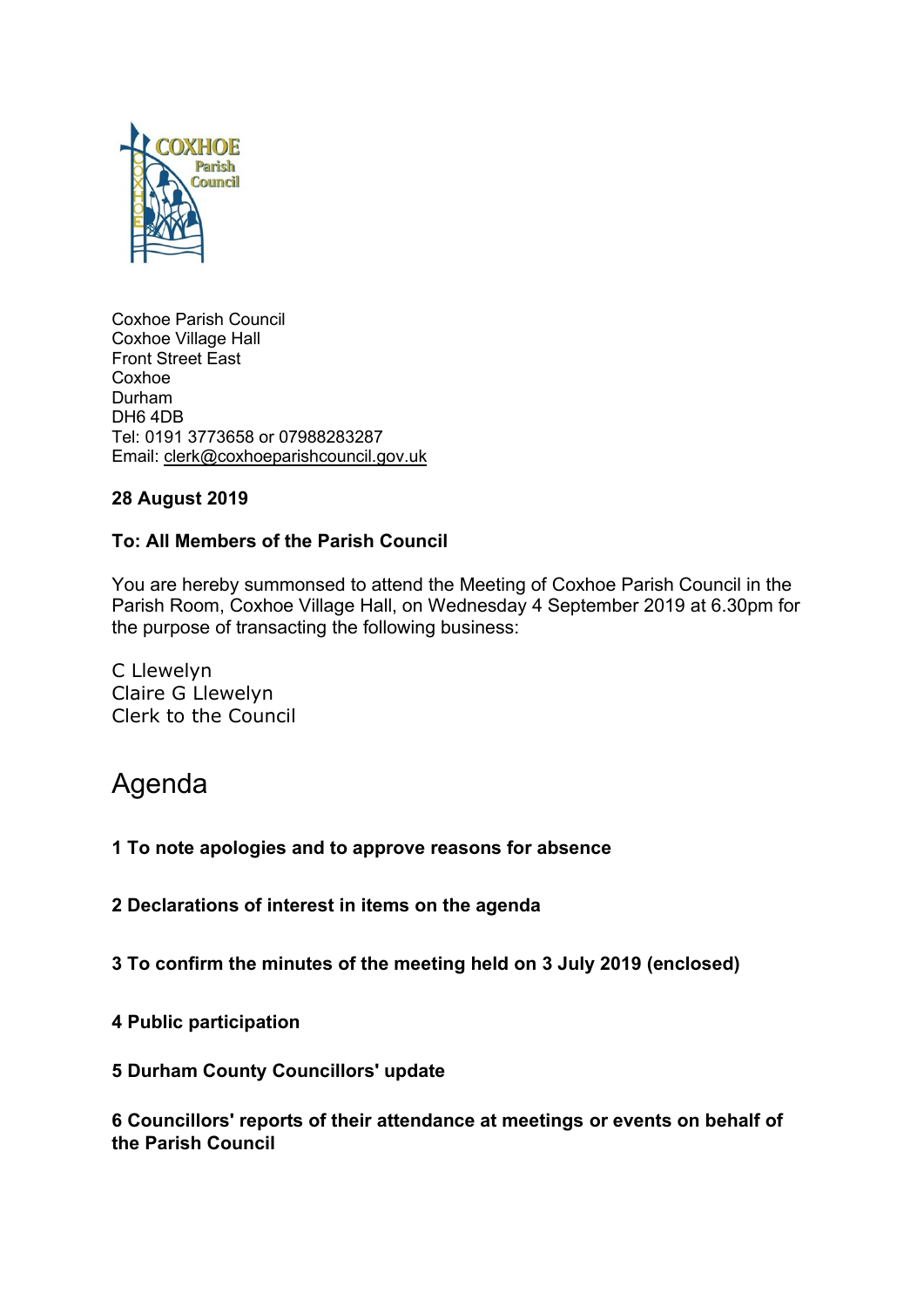

Coxhoe Parish Council Coxhoe Village Hall Front Street East Coxhoe Durham DH6 4DB Tel: 0191 3773658 or 07988283287 Email: [clerk@coxhoeparishcouncil.gov.uk](mailto:clerk@coxhoeparishcouncil.gov.uk)

# **28 August 2019**

# **To: All Members of the Parish Council**

You are hereby summonsed to attend the Meeting of Coxhoe Parish Council in the Parish Room, Coxhoe Village Hall, on Wednesday 4 September 2019 at 6.30pm for the purpose of transacting the following business:

C Llewelyn Claire G Llewelyn Clerk to the Council

# Agenda

**1 To note apologies and to approve reasons for absence**

**2 Declarations of interest in items on the agenda**

**3 To confirm the minutes of the meeting held on 3 July 2019 (enclosed)**

**4 Public participation**

**5 Durham County Councillors' update**

**6 Councillors' reports of their attendance at meetings or events on behalf of the Parish Council**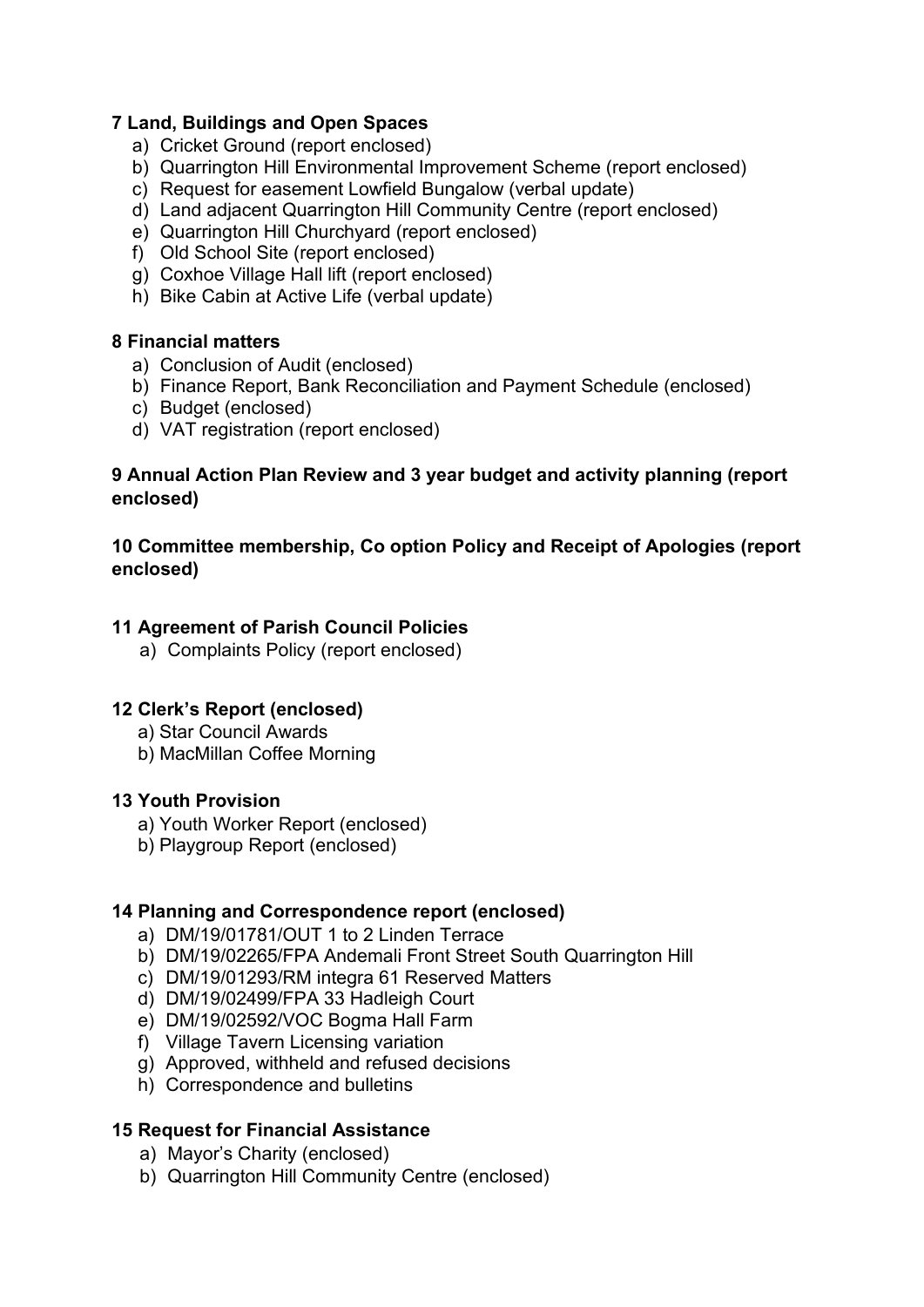# **7 Land, Buildings and Open Spaces**

- a) Cricket Ground (report enclosed)
- b) Quarrington Hill Environmental Improvement Scheme (report enclosed)
- c) Request for easement Lowfield Bungalow (verbal update)
- d) Land adjacent Quarrington Hill Community Centre (report enclosed)
- e) Quarrington Hill Churchyard (report enclosed)
- f) Old School Site (report enclosed)
- g) Coxhoe Village Hall lift (report enclosed)
- h) Bike Cabin at Active Life (verbal update)

#### **8 Financial matters**

- a) Conclusion of Audit (enclosed)
- b) Finance Report, Bank Reconciliation and Payment Schedule (enclosed)
- c) Budget (enclosed)
- d) VAT registration (report enclosed)

# **9 Annual Action Plan Review and 3 year budget and activity planning (report enclosed)**

# **10 Committee membership, Co option Policy and Receipt of Apologies (report enclosed)**

# **11 Agreement of Parish Council Policies**

a) Complaints Policy (report enclosed)

# **12 Clerk's Report (enclosed)**

- a) Star Council Awards
- b) MacMillan Coffee Morning

#### **13 Youth Provision**

- a) Youth Worker Report (enclosed)
- b) Playgroup Report (enclosed)

# **14 Planning and Correspondence report (enclosed)**

- a) DM/19/01781/OUT 1 to 2 Linden Terrace
- b) DM/19/02265/FPA Andemali Front Street South Quarrington Hill
- c) DM/19/01293/RM integra 61 Reserved Matters
- d) DM/19/02499/FPA 33 Hadleigh Court
- e) DM/19/02592/VOC Bogma Hall Farm
- f) Village Tavern Licensing variation
- g) Approved, withheld and refused decisions
- h) Correspondence and bulletins

# **15 Request for Financial Assistance**

- a) Mayor's Charity (enclosed)
- b) Quarrington Hill Community Centre (enclosed)